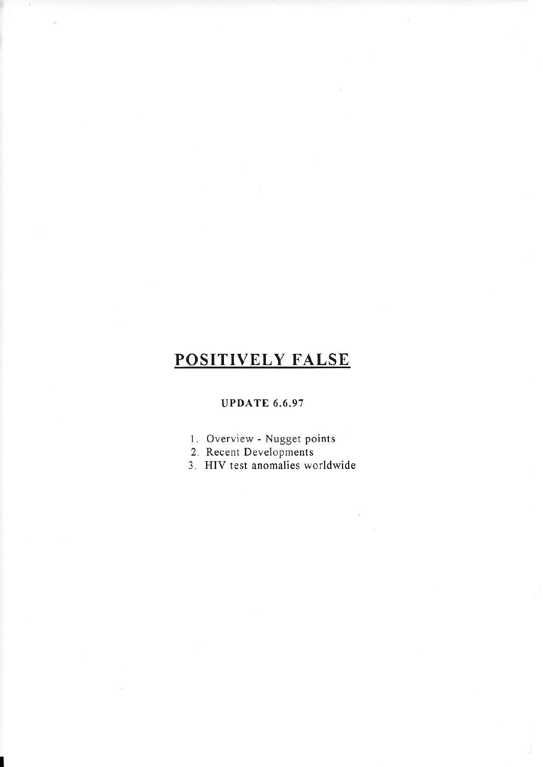## POSITIVELY FALSE

r

## UPDATE 6.6.97

- 1. Overview Nugget points
- 2. Recent Developments
- 3. HIV test anomalies worldwide